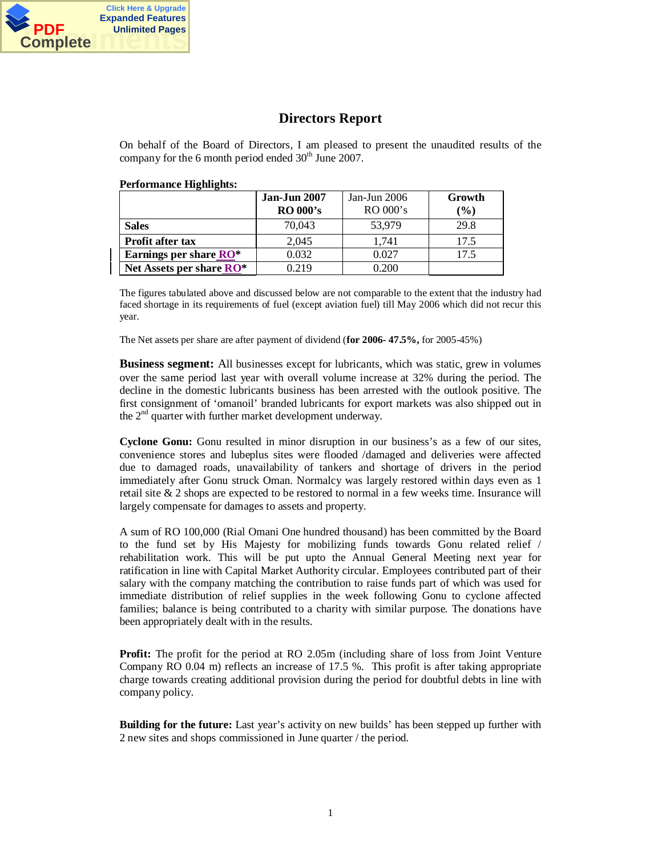

## **Directors Report**

On behalf of the Board of Directors, I am pleased to present the unaudited results of the company for the 6 month period ended  $30<sup>th</sup>$  June 2007.

| т сгилинансе тиgнизик».  |                                 |                            |                  |
|--------------------------|---------------------------------|----------------------------|------------------|
|                          | Jan-Jun 2007<br><b>RO 000's</b> | Jan-Jun $2006$<br>RO 000's | Growth<br>$(\%)$ |
| <b>Sales</b>             | 70,043                          | 53,979                     | 29.8             |
| <b>Profit after tax</b>  | 2.045                           | 1,741                      | 17.5             |
| Earnings per share RO*   | 0.032                           | 0.027                      | 17.5             |
| Net Assets per share RO* | 0.219                           | 0.200                      |                  |

## **Performance Highlights:**

The figures tabulated above and discussed below are not comparable to the extent that the industry had faced shortage in its requirements of fuel (except aviation fuel) till May 2006 which did not recur this year.

The Net assets per share are after payment of dividend (**for 2006- 47.5%,** for 2005-45%)

**Business segment:** All businesses except for lubricants, which was static, grew in volumes over the same period last year with overall volume increase at 32% during the period. The decline in the domestic lubricants business has been arrested with the outlook positive. The first consignment of 'omanoil' branded lubricants for export markets was also shipped out in the  $2<sup>nd</sup>$  quarter with further market development underway.

**Cyclone Gonu:** Gonu resulted in minor disruption in our business's as a few of our sites, convenience stores and lubeplus sites were flooded /damaged and deliveries were affected due to damaged roads, unavailability of tankers and shortage of drivers in the period immediately after Gonu struck Oman. Normalcy was largely restored within days even as 1 retail site & 2 shops are expected to be restored to normal in a few weeks time. Insurance will largely compensate for damages to assets and property.

A sum of RO 100,000 (Rial Omani One hundred thousand) has been committed by the Board to the fund set by His Majesty for mobilizing funds towards Gonu related relief / rehabilitation work. This will be put upto the Annual General Meeting next year for ratification in line with Capital Market Authority circular. Employees contributed part of their salary with the company matching the contribution to raise funds part of which was used for immediate distribution of relief supplies in the week following Gonu to cyclone affected families; balance is being contributed to a charity with similar purpose. The donations have been appropriately dealt with in the results.

**Profit:** The profit for the period at RO 2.05m (including share of loss from Joint Venture Company RO 0.04 m) reflects an increase of 17.5 %. This profit is after taking appropriate charge towards creating additional provision during the period for doubtful debts in line with company policy.

**Building for the future:** Last year's activity on new builds' has been stepped up further with 2 new sites and shops commissioned in June quarter / the period.